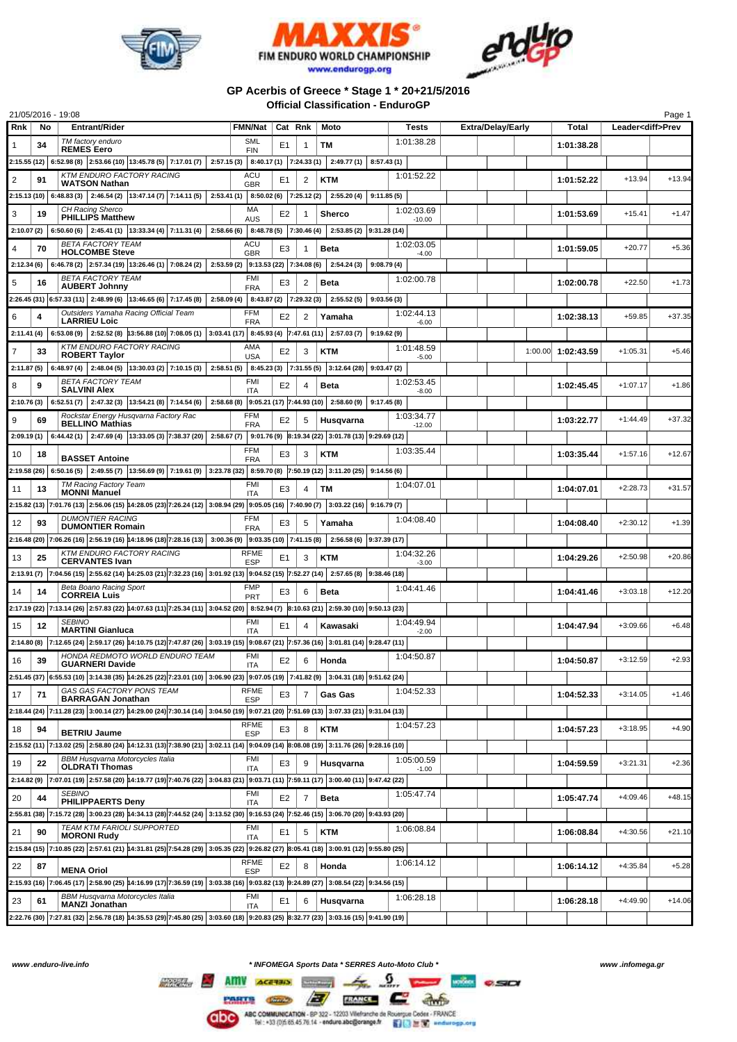





## **GP Acerbis of Greece \* Stage 1 \* 20+21/5/2016 Official Classification - EnduroGP**

|                |    | 21/05/2016 - 19:08                                                                                                                                                            |                                                  |                |                |                                                     |                        |                          |                    |                          | Page 1   |
|----------------|----|-------------------------------------------------------------------------------------------------------------------------------------------------------------------------------|--------------------------------------------------|----------------|----------------|-----------------------------------------------------|------------------------|--------------------------|--------------------|--------------------------|----------|
| Rnk            | No | <b>Entrant/Rider</b>                                                                                                                                                          | <b>FMN/Nat</b>                                   | Cat Rnk        |                | Moto                                                | Tests                  | <b>Extra/Delay/Early</b> | Total              | Leader <diff>Prev</diff> |          |
| 1              | 34 | TM factory enduro<br><b>REMES Eero</b>                                                                                                                                        | <b>SML</b><br><b>FIN</b>                         | E1             | 1              | TМ                                                  | 1:01:38.28             |                          | 1:01:38.28         |                          |          |
|                |    | $2:15.55(12)$ 6:52.98 (8) 2:53.66 (10) 13:45.78 (5) 7:17.01 (7)                                                                                                               |                                                  |                |                | $2:57.15(3)$ 8:40.17(1) 7:24.33(1) 2:49.77(1)       | 8:57.43(1)             |                          |                    |                          |          |
| $\overline{2}$ | 91 | <b>KTM ENDURO FACTORY RACING</b><br><b>WATSON Nathan</b>                                                                                                                      | ACU<br><b>GBR</b>                                | E1             | $\overline{2}$ | KTM                                                 | 1:01:52.22             |                          | 1:01:52.22         | $+13.94$                 | $+13.94$ |
|                |    | $2:15.13(10)$ 6:48.83(3) 2:46.54(2) 13:47.14(7) 7:14.11(5) 2:53.41(1)                                                                                                         | $8:50.02(6)$ 7:25.12(2)                          |                |                | 2:55.20(4)                                          | 9:11.85(5)             |                          |                    |                          |          |
| 3              | 19 | CH Racing Sherco<br><b>PHILLIPS Matthew</b>                                                                                                                                   | MA<br>AUS                                        | E2             | 1              | <b>Sherco</b>                                       | 1:02:03.69<br>$-10.00$ |                          | 1:01:53.69         | $+15.41$                 | $+1.47$  |
| 2:10.07(2)     |    | $6:50.60(6)$ 2:45.41(1) 13:33.34(4) 7:11.31(4)<br>2:58.66(6)                                                                                                                  | 8:48.78 (5) 7:30.46 (4)                          |                |                | 2:53.85 (2) 9:31.28 (14)                            |                        |                          |                    |                          |          |
| 4              | 70 | <b>BETA FACTORY TEAM</b><br><b>HOLCOMBE Steve</b>                                                                                                                             | ACU<br><b>GBR</b>                                | E3             | 1              | <b>Beta</b>                                         | 1:02:03.05             |                          | 1:01:59.05         | $+20.77$                 | $+5.36$  |
|                |    | 2:12.34 (6) $  6:46.78 (2)   2:57.34 (19)   13:26.46 (1)   7:08.24 (2)   2:53.59 (2)   9:13.53 (22)   7:34.08 (6)   2:54.24 (3)$                                              |                                                  |                |                |                                                     | $-4.00$<br>9:08.79(4)  |                          |                    |                          |          |
| 5              | 16 | <b>BETA FACTORY TEAM</b><br><b>AUBERT Johnny</b>                                                                                                                              | FMI                                              | E3             | 2              | <b>Beta</b>                                         | 1:02:00.78             |                          | 1:02:00.78         | $+22.50$                 | $+1.73$  |
|                |    | $2:26.45(31)$ 6:57.33 (11) 2:48.99 (6) 13:46.65 (6) 7:17.45 (8)<br>2:58.09(4)                                                                                                 | <b>FRA</b><br>8:43.87 (2) 7:29.32 (3)            |                |                | 2:55.52(5)                                          | 9:03.56(3)             |                          |                    |                          |          |
| 6              | 4  | Outsiders Yamaha Racing Official Team                                                                                                                                         | <b>FFM</b>                                       | E2             | $\overline{2}$ | Yamaha                                              | 1:02:44.13             |                          | 1:02:38.13         | $+59.85$                 | +37.35   |
| 2:11.41 (4)    |    | <b>LARRIEU Loic</b><br>6:53.08 (9) 2:52.52 (8) 43:56.88 (10) 7:08.05 (1) 3:03.41 (17) 8:45.93 (4) 7:47.61 (11) 2:57.03 (7)                                                    | <b>FRA</b>                                       |                |                |                                                     | $-6.00$<br>9:19.62(9)  |                          |                    |                          |          |
| 7              | 33 | <b>KTM ENDURO FACTORY RACING</b>                                                                                                                                              | AMA                                              | E2             | 3              | KTM                                                 | 1:01:48.59             |                          | 1:00.00 1:02:43.59 | $+1:05.31$               | $+5.46$  |
| 2:11.87 (5)    |    | <b>ROBERT Taylor</b><br>6:48.97 (4) 2:48.04 (5) 13:30.03 (2) 7:10.15 (3)                                                                                                      | <b>USA</b><br>$2:58.51(5)$ 8:45.23(3) 7:31.55(5) |                |                | $3:12.64(28)$ 9:03.47(2)                            | $-5.00$                |                          |                    |                          |          |
|                |    | <b>BETA FACTORY TEAM</b>                                                                                                                                                      | <b>FMI</b>                                       |                |                |                                                     | 1:02:53.45             |                          |                    |                          |          |
| 8              | 9  | <b>SALVINI Alex</b>                                                                                                                                                           | <b>ITA</b>                                       | E2             | 4              | Beta                                                | $-8.00$                |                          | 1:02:45.45         | $+1:07.17$               | $+1.86$  |
| 2:10.76 (3)    |    | 6:52.51 (7) 2:47.32 (3) 13:54.21 (8) 7:14.54 (6) 2:58.68 (8) 9:05.21 (17) 7:44.93 (10) 2:58.60 (9) 9:17.45 (8)                                                                | FFM                                              |                |                |                                                     |                        |                          |                    |                          |          |
| 9              | 69 | Rockstar Energy Husqvarna Factory Rac<br><b>BELLINO Mathias</b>                                                                                                               | <b>FRA</b>                                       | E2             | 5              | Husqvarna                                           | 1:03:34.77<br>$-12.00$ |                          | 1:03:22.77         | $+1:44.49$               | +37.32   |
|                |    | $2:09.19(1)$ 6:44.42(1) 2:47.69(4) 13:33.05(3) 7:38.37(20) 2:58.67(7)                                                                                                         |                                                  |                |                | $9:01.76(9)$ 8:19.34 (22) 3:01.78 (13) 9:29.69 (12) |                        |                          |                    |                          |          |
| 10             | 18 | <b>BASSET Antoine</b>                                                                                                                                                         | FFM<br><b>FRA</b>                                | E3             | 3              | <b>KTM</b>                                          | 1:03:35.44             |                          | 1:03:35.44         | $+1:57.16$               | $+12.67$ |
|                |    | 2:19.58 (26) 6:50.16 (5) 2:49.55 (7) 3:56.69 (9) 7:19.61 (9) 3:23.78 (32) 8:59.70 (8) 7:50.19 (12) 3:11.20 (25) 9:14.56 (6)                                                   |                                                  |                |                |                                                     |                        |                          |                    |                          |          |
| 11             | 13 | <b>TM Racing Factory Team</b><br><b>MONNI Manuel</b>                                                                                                                          | <b>FMI</b><br><b>ITA</b>                         | E3             | 4              | ТM                                                  | 1:04:07.01             |                          | 1:04:07.01         | $+2:28.73$               | $+31.57$ |
|                |    | 2:15.82 (13) 7:01.76 (13) 2:56.06 (15) 14:28.05 (23) 7:26.24 (12) 3:08.94 (29) 9:05.05 (16) 7:40.90 (7)                                                                       |                                                  |                |                | $3:03.22(16)$ 9:16.79(7)                            |                        |                          |                    |                          |          |
| 12             | 93 | <b>DUMONTIER RACING</b><br><b>DUMONTIER Romain</b>                                                                                                                            | <b>FFM</b><br><b>FRA</b>                         | E3             | 5              | Yamaha                                              | 1:04:08.40             |                          | 1:04:08.40         | $+2:30.12$               | $+1.39$  |
|                |    | 2:16.48 (20) 7:06.26 (16) 2:56.19 (16) 14:18.96 (18) 7:28.16 (13) 3:00.36 (9) 9:03.35 (10) 7:41.15 (8)                                                                        |                                                  |                |                | $2:56.58(6)$ 9:37.39 (17)                           |                        |                          |                    |                          |          |
| 13             | 25 | <b>KTM ENDURO FACTORY RACING</b>                                                                                                                                              | <b>RFME</b>                                      | E <sub>1</sub> | 3              | <b>KTM</b>                                          | 1:04:32.26             |                          | 1:04:29.26         | $+2:50.98$               | $+20.86$ |
|                |    | <b>CERVANTES Ivan</b><br>2:3.91 (7) 7:04.56 (15) 2:55.62 (14) 44:25.03 (21) 7:32.23 (16) 3:01.92 (13) 9:04.52 (15) 7:52.27 (14) 2:57.65 (8) 9:38.46 (18)                      | <b>ESP</b>                                       |                |                |                                                     | $-3.00$                |                          |                    |                          |          |
| 14             | 14 | Beta Boano Racing Sport                                                                                                                                                       | <b>FMP</b>                                       | E3             | 6              | <b>Beta</b>                                         | 1:04:41.46             |                          | 1:04:41.46         | $+3:03.18$               | $+12.20$ |
|                |    | <b>CORREIA Luis</b><br>2:17.19 (22) 7:13.14 (26) 2:57.83 (22) 14:07.63 (11) 7:25.34 (11) 3:04.52 (20) 8:52.94 (7) 8:10.63 (21) 2:59.30 (10) 9:50.13 (23)                      | <b>PRT</b>                                       |                |                |                                                     |                        |                          |                    |                          |          |
|                |    | <b>SEBINO</b>                                                                                                                                                                 | FMI                                              |                |                |                                                     | 1:04:49.94             |                          |                    |                          |          |
| 15             | 12 | <b>MARTINI Gianluca</b>                                                                                                                                                       | <b>ITA</b>                                       | E1             | 4              | Kawasaki                                            | $-2.00$                |                          | 1:04:47.94         | $+3:09.66$               | $+6.48$  |
|                |    | 2:14.80 (8) 7:12.65 (24) 2:59.17 (26) 14:10.75 (12) 7:47.87 (26) 3:03.19 (15) 9:08.67 (21) 7:57.36 (16) 3:01.81 (14) 9:28.47 (11)<br>HONDA REDMOTO WORLD ENDURO TEAM          | <b>FMI</b>                                       |                |                |                                                     | 1:04:50.87             |                          |                    |                          |          |
| 16             | 39 | <b>GUARNERI Davide</b>                                                                                                                                                        | <b>ITA</b>                                       | E <sub>2</sub> | 6              | Honda                                               |                        |                          | 1:04:50.87         | $+3:12.59$               | $+2.93$  |
|                |    | 2:51.45 (37) 6:55.53 (10) 3:14.38 (35) 14:26.25 (22) 7:23.01 (10) 3:06.90 (23) 9:07.05 (19) 7:41.82 (9) 3:04.31 (18) 9:51.62 (24)                                             |                                                  |                |                |                                                     |                        |                          |                    |                          |          |
| 17             | 71 | GAS GAS FACTORY PONS TEAM<br><b>BARRAGAN Jonathan</b>                                                                                                                         | <b>RFME</b><br><b>ESP</b>                        | E3             | $\overline{7}$ | Gas Gas                                             | 1:04:52.33             |                          | 1:04:52.33         | $+3:14.05$               | $+1.46$  |
|                |    | 2:18.44 (24) 7:11.28 (23) 3:00.14 (27) 14:29.00 (24) 7:30.14 (14) 3:04.50 (19) 9:07.21 (20) 7:51.69 (13) 3:07.33 (21) 9:31.04 (13)                                            |                                                  |                |                |                                                     |                        |                          |                    |                          |          |
| 18             | 94 | <b>BETRIU Jaume</b>                                                                                                                                                           | <b>RFME</b><br><b>ESP</b>                        | E3             | 8              | <b>KTM</b>                                          | 1:04:57.23             |                          | 1:04:57.23         | $+3:18.95$               | $+4.90$  |
|                |    | 2:15.52 (11) 7:13.02 (25) 2:58.80 (24) 14:12.31 (13) 7:38.90 (21) 3:02.11 (14) 9:04.09 (14) 8:08.08 (19) 3:11.76 (26) 9:28.16 (10)                                            |                                                  |                |                |                                                     |                        |                          |                    |                          |          |
| 19             | 22 | <b>BBM Husqvarna Motorcycles Italia</b><br><b>OLDRATI Thomas</b>                                                                                                              | FMI<br><b>ITA</b>                                | E3             | 9              | Husqvarna                                           | 1:05:00.59<br>$-1.00$  |                          | 1:04:59.59         | $+3:21.31$               | $+2.36$  |
|                |    | 2:14.82 (9) 7:07.01 (19) 2:57.58 (20) 14:19.77 (19) 7:40.76 (22) 3:04.83 (21) 9:03.71 (11) 7:59.11 (17) 3:00.40 (11) 9:47.42 (22)                                             |                                                  |                |                |                                                     |                        |                          |                    |                          |          |
| 20             | 44 | <b>SEBINO</b>                                                                                                                                                                 | <b>FMI</b>                                       | E2             | $\overline{7}$ | <b>Beta</b>                                         | 1:05:47.74             |                          | 1:05:47.74         | $+4:09.46$               | $+48.15$ |
|                |    | <b>PHILIPPAERTS Deny</b><br>2:55.81 (38) 7:15.72 (28) 3:00.23 (28) 14:34.13 (28) 7:44.52 (24) 3:13.52 (30) 9:16.53 (24) 7:52.46 (15) 3:06.70 (20) 9:43.93 (20)                | <b>ITA</b>                                       |                |                |                                                     |                        |                          |                    |                          |          |
| 21             | 90 | TEAM KTM FARIOLI SUPPORTED                                                                                                                                                    | FMI                                              | E <sub>1</sub> | 5              | <b>KTM</b>                                          | 1:06:08.84             |                          | 1:06:08.84         | $+4:30.56$               | $+21.10$ |
|                |    | <b>MORONI Rudy</b><br>2:5.84 (15) 7:10.85 (22) 2:57.61 (21) 14:31.81 (25) 7:54.28 (29) 3:05.35 (22) 9:26.82 (27) 8:05.41 (18) 3:00.91 (12) 9:55.80 (25)                       | ITA                                              |                |                |                                                     |                        |                          |                    |                          |          |
|                |    |                                                                                                                                                                               | <b>RFME</b>                                      |                |                |                                                     | 1:06:14.12             |                          |                    | $+4:35.84$               |          |
| 22             | 87 | <b>MENA Oriol</b>                                                                                                                                                             | <b>ESP</b>                                       | E2             | 8              | Honda                                               |                        |                          | 1:06:14.12         |                          | $+5.28$  |
|                |    | 2:15.93 (16) 7:06.45 (17) 2:58.90 (25) 14:16.99 (17) 7:36.59 (19) 3:03.38 (16) 9:03.82 (13) 9:24.89 (27) 3:08.54 (22) 9:34.56 (15)<br><b>BBM Husqvarna Motorcycles Italia</b> | FMI                                              |                |                |                                                     | 1:06:28.18             |                          |                    |                          |          |
| 23             | 61 | <b>MANZI Jonathan</b>                                                                                                                                                         | <b>ITA</b>                                       | E1             | 6              | Husqvarna                                           |                        |                          | 1:06:28.18         | $+4:49.90$               | $+14.06$ |
|                |    | 2:22.76 (30) 7:27.81 (32) 2:56.78 (18) 14:35.53 (29) 7:45.80 (25) 3:03.60 (18) 9:20.83 (25) 8:32.77 (23) 3:03.16 (15) 9:41.90 (19)                                            |                                                  |                |                |                                                     |                        |                          |                    |                          |          |

*www .enduro-live.info \* INFOMEGA Sports Data \* SERRES Auto-Moto Club \* www .infomega.gr*

 $\Omega$ ,  $\sim$   $\sim$   $\sim$   $\sim$ 

 $\bullet$   $\overline{z}$   $\overline{w}$   $\overline{c}$  as **CARDS** 

**ARRESTS** AMY **ACCESS ARRESTS**